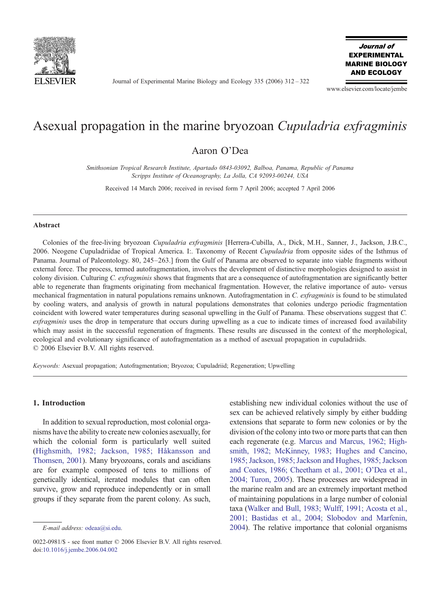

Journal of Experimental Marine Biology and Ecology 335 (2006) 312–322

Journal of **EXPERIMENTAL MARINE BIOLOGY AND ECOLOGY** 

www.elsevier.com/locate/jembe

# Asexual propagation in the marine bryozoan Cupuladria exfragminis

## Aaron O'Dea

Smithsonian Tropical Research Institute, Apartado 0843-03092, Balboa, Panama, Republic of Panama Scripps Institute of Oceanography, La Jolla, CA 92093-00244, USA

Received 14 March 2006; received in revised form 7 April 2006; accepted 7 April 2006

#### Abstract

Colonies of the free-living bryozoan Cupuladria exfragminis [Herrera-Cubilla, A., Dick, M.H., Sanner, J., Jackson, J.B.C., 2006. Neogene Cupuladriidae of Tropical America. I:. Taxonomy of Recent Cupuladria from opposite sides of the Isthmus of Panama. Journal of Paleontology. 80, 245–263.] from the Gulf of Panama are observed to separate into viable fragments without external force. The process, termed autofragmentation, involves the development of distinctive morphologies designed to assist in colony division. Culturing C. exfragminis shows that fragments that are a consequence of autofragmentation are significantly better able to regenerate than fragments originating from mechanical fragmentation. However, the relative importance of auto- versus mechanical fragmentation in natural populations remains unknown. Autofragmentation in C. exfragminis is found to be stimulated by cooling waters, and analysis of growth in natural populations demonstrates that colonies undergo periodic fragmentation coincident with lowered water temperatures during seasonal upwelling in the Gulf of Panama. These observations suggest that C. exfragminis uses the drop in temperature that occurs during upwelling as a cue to indicate times of increased food availability which may assist in the successful regeneration of fragments. These results are discussed in the context of the morphological, ecological and evolutionary significance of autofragmentation as a method of asexual propagation in cupuladriids. © 2006 Elsevier B.V. All rights reserved.

Keywords: Asexual propagation; Autofragmentation; Bryozoa; Cupuladriid; Regeneration; Upwelling

#### 1. Introduction

In addition to sexual reproduction, most colonial organisms have the ability to create new colonies asexually, for which the colonial form is particularly well suited ([Highsmith, 1982; Jackson, 1985; Håkansson and](#page-9-0) [Thomsen, 2001\)](#page-9-0). Many bryozoans, corals and ascidians are for example composed of tens to millions of genetically identical, iterated modules that can often survive, grow and reproduce independently or in small groups if they separate from the parent colony. As such,

establishing new individual colonies without the use of sex can be achieved relatively simply by either budding extensions that separate to form new colonies or by the division of the colony into two or more parts that can then each regenerate (e.g. [Marcus and Marcus, 1962; High](#page-9-0)[smith, 1982; McKinney, 1983; Hughes and Cancino,](#page-9-0) [1985; Jackson, 1985; Jackson and Hughes, 1985; Jackson](#page-9-0) [and Coates, 1986; Cheetham et al., 2001; O'Dea et al.,](#page-9-0) [2004; Turon, 2005\)](#page-9-0). These processes are widespread in the marine realm and are an extremely important method of maintaining populations in a large number of colonial taxa [\(Walker and Bull, 1983; Wulff, 1991; Acosta et al.,](#page-10-0) [2001; Bastidas et al., 2004; Slobodov and Marfenin,](#page-10-0) [2004\)](#page-10-0). The relative importance that colonial organisms

E-mail address: [odeaa@si.edu](mailto:odeaa@si.edu).

<sup>0022-0981/\$ -</sup> see front matter © 2006 Elsevier B.V. All rights reserved. doi[:10.1016/j.jembe.2006.04.002](http://dx.doi.org/10.1016/j.jembe.2006.04.002)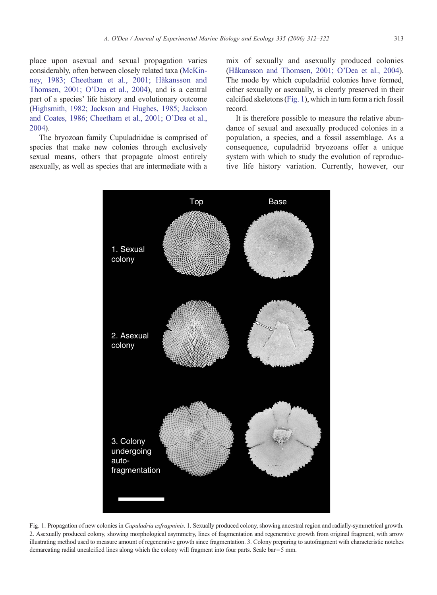<span id="page-1-0"></span>place upon asexual and sexual propagation varies considerably, often between closely related taxa [\(McKin](#page-9-0)[ney, 1983; Cheetham et al., 2001; Håkansson and](#page-9-0) [Thomsen, 2001; O'Dea et al., 2004\)](#page-9-0), and is a central part of a species' life history and evolutionary outcome [\(Highsmith, 1982; Jackson and Hughes, 1985; Jackson](#page-9-0) [and Coates, 1986; Cheetham et al., 2001; O'Dea et al.,](#page-9-0) [2004](#page-9-0)).

The bryozoan family Cupuladriidae is comprised of species that make new colonies through exclusively sexual means, others that propagate almost entirely asexually, as well as species that are intermediate with a

mix of sexually and asexually produced colonies [\(Håkansson and Thomsen, 2001; O'Dea et al., 2004](#page-9-0)). The mode by which cupuladriid colonies have formed, either sexually or asexually, is clearly preserved in their calcified skeletons (Fig. 1), which in turn form a rich fossil record.

It is therefore possible to measure the relative abundance of sexual and asexually produced colonies in a population, a species, and a fossil assemblage. As a consequence, cupuladriid bryozoans offer a unique system with which to study the evolution of reproductive life history variation. Currently, however, our



Fig. 1. Propagation of new colonies in Cupuladria exfragminis. 1. Sexually produced colony, showing ancestral region and radially-symmetrical growth. 2. Asexually produced colony, showing morphological asymmetry, lines of fragmentation and regenerative growth from original fragment, with arrow illustrating method used to measure amount of regenerative growth since fragmentation. 3. Colony preparing to autofragment with characteristic notches demarcating radial uncalcified lines along which the colony will fragment into four parts. Scale bar= 5 mm.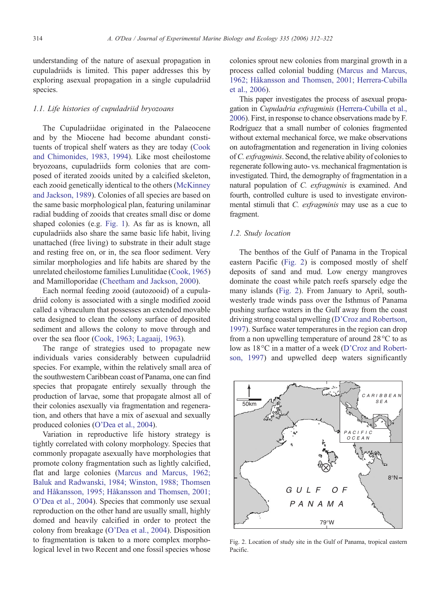<span id="page-2-0"></span>understanding of the nature of asexual propagation in cupuladriids is limited. This paper addresses this by exploring asexual propagation in a single cupuladriid species.

## 1.1. Life histories of cupuladriid bryozoans

The Cupuladriidae originated in the Palaeocene and by the Miocene had become abundant constituents of tropical shelf waters as they are today ([Cook](#page-9-0) [and Chimonides, 1983, 1994\)](#page-9-0). Like most cheilostome bryozoans, cupuladriids form colonies that are composed of iterated zooids united by a calcified skeleton, each zooid genetically identical to the others ([McKinney](#page-9-0) [and Jackson, 1989](#page-9-0)). Colonies of all species are based on the same basic morphological plan, featuring unilaminar radial budding of zooids that creates small disc or dome shaped colonies (e.g. [Fig. 1](#page-1-0)). As far as is known, all cupuladriids also share the same basic life habit, living unattached (free living) to substrate in their adult stage and resting free on, or in, the sea floor sediment. Very similar morphologies and life habits are shared by the unrelated cheilostome families Lunulitidae [\(Cook, 1965](#page-9-0)) and Mamilloporidae ([Cheetham and Jackson, 2000](#page-9-0)).

Each normal feeding zooid (autozooid) of a cupuladriid colony is associated with a single modified zooid called a vibraculum that possesses an extended movable seta designed to clean the colony surface of deposited sediment and allows the colony to move through and over the sea floor ([Cook, 1963; Lagaaij, 1963](#page-9-0)).

The range of strategies used to propagate new individuals varies considerably between cupuladriid species. For example, within the relatively small area of the southwestern Caribbean coast of Panama, one can find species that propagate entirely sexually through the production of larvae, some that propagate almost all of their colonies asexually via fragmentation and regeneration, and others that have a mix of asexual and sexually produced colonies [\(O'Dea et al., 2004](#page-10-0)).

Variation in reproductive life history strategy is tightly correlated with colony morphology. Species that commonly propagate asexually have morphologies that promote colony fragmentation such as lightly calcified, flat and large colonies ([Marcus and Marcus, 1962;](#page-9-0) [Baluk and Radwanski, 1984; Winston, 1988; Thomsen](#page-9-0) [and Håkansson, 1995; Håkansson and Thomsen, 2001;](#page-9-0) [O'Dea et al., 2004\)](#page-9-0). Species that commonly use sexual reproduction on the other hand are usually small, highly domed and heavily calcified in order to protect the colony from breakage [\(O'Dea et al., 2004](#page-10-0)). Disposition to fragmentation is taken to a more complex morphological level in two Recent and one fossil species whose colonies sprout new colonies from marginal growth in a process called colonial budding [\(Marcus and Marcus,](#page-9-0) [1962; Håkansson and Thomsen, 2001; Herrera-Cubilla](#page-9-0) [et al., 2006](#page-9-0)).

This paper investigates the process of asexual propagation in Cupuladria exfragminis ([Herrera-Cubilla et al.,](#page-9-0) [2006\)](#page-9-0). First, in response to chance observations made by F. Rodríguez that a small number of colonies fragmented without external mechanical force, we make observations on autofragmentation and regeneration in living colonies ofC. exfragminis. Second, the relative ability of colonies to regenerate following auto- vs. mechanical fragmentation is investigated. Third, the demography of fragmentation in a natural population of C. exfragminis is examined. And fourth, controlled culture is used to investigate environmental stimuli that C. exfragminis may use as a cue to fragment.

#### 1.2. Study location

The benthos of the Gulf of Panama in the Tropical eastern Pacific (Fig. 2) is composed mostly of shelf deposits of sand and mud. Low energy mangroves dominate the coast while patch reefs sparsely edge the many islands (Fig. 2). From January to April, southwesterly trade winds pass over the Isthmus of Panama pushing surface waters in the Gulf away from the coast driving strong coastal upwelling ([D'Croz and Robertson,](#page-9-0) [1997](#page-9-0)). Surface water temperatures in the region can drop from a non upwelling temperature of around 28°C to as low as 18°C in a matter of a week [\(D'Croz and Robert](#page-9-0)[son, 1997\)](#page-9-0) and upwelled deep waters significantly



Fig. 2. Location of study site in the Gulf of Panama, tropical eastern Pacific.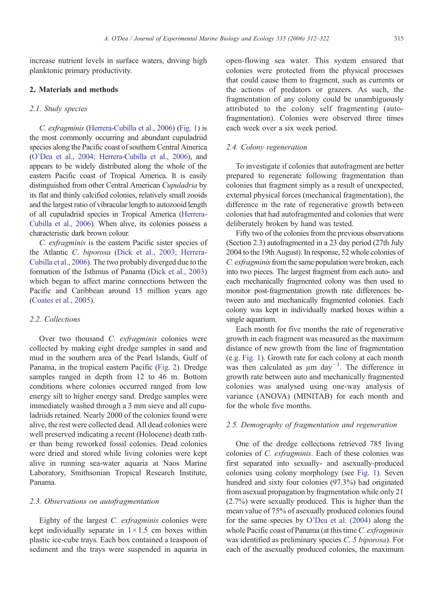increase nutrient levels in surface waters, driving high planktonic primary productivity.

## 2. Materials and methods

## 2.1. Study species

C. exfragminis [\(Herrera-Cubilla et al., 2006\)](#page-9-0) ([Fig. 1\)](#page-1-0) is the most commonly occurring and abundant cupuladriid species along the Pacific coast of southern Central America [\(O'Dea et al., 2004; Herrera-Cubilla et al., 2006](#page-10-0)), and appears to be widely distributed along the whole of the eastern Pacific coast of Tropical America. It is easily distinguished from other Central American Cupuladria by its flat and thinly calcified colonies, relatively small zooids and the largest ratio of vibracular length to autozooid length of all cupuladriid species in Tropical America [\(Herrera-](#page-9-0)[Cubilla et al., 2006](#page-9-0)). When alive, its colonies possess a characteristic dark brown colour.

C. exfragminis is the eastern Pacific sister species of the Atlantic C. biporosa [\(Dick et al., 2003; Herrera-](#page-9-0)[Cubilla et al., 2006\)](#page-9-0). The two probably diverged due to the formation of the Isthmus of Panama ([Dick et al., 2003\)](#page-9-0) which began to affect marine connections between the Pacific and Caribbean around 15 million years ago [\(Coates et al., 2005\)](#page-9-0).

#### 2.2. Collections

Over two thousand C. exfragminis colonies were collected by making eight dredge samples in sand and mud in the southern area of the Pearl Islands, Gulf of Panama, in the tropical eastern Pacific ([Fig. 2](#page-2-0)). Dredge samples ranged in depth from 12 to 46 m. Bottom conditions where colonies occurred ranged from low energy silt to higher energy sand. Dredge samples were immediately washed through a 3 mm sieve and all cupuladriids retained. Nearly 2000 of the colonies found were alive, the rest were collected dead. All dead colonies were well preserved indicating a recent (Holocene) death rather than being reworked fossil colonies. Dead colonies were dried and stored while living colonies were kept alive in running sea-water aquaria at Naos Marine Laboratory, Smithsonian Tropical Research Institute, Panama.

#### 2.3. Observations on autofragmentation

Eighty of the largest C. exfragminis colonies were kept individually separate in  $1 \times 1.5$  cm boxes within plastic ice-cube trays. Each box contained a teaspoon of sediment and the trays were suspended in aquaria in open-flowing sea water. This system ensured that colonies were protected from the physical processes that could cause them to fragment, such as currents or the actions of predators or grazers. As such, the fragmentation of any colony could be unambiguously attributed to the colony self fragmenting (autofragmentation). Colonies were observed three times each week over a six week period.

## 2.4. Colony regeneration

To investigate if colonies that autofragment are better prepared to regenerate following fragmentation than colonies that fragment simply as a result of unexpected, external physical forces (mechanical fragmentation), the difference in the rate of regenerative growth between colonies that had autofragmented and colonies that were deliberately broken by hand was tested.

Fifty two of the colonies from the previous observations (Section 2.3) autofragmented in a 23 day period (27th July 2004 to the 19th August). In response, 52 whole colonies of C. exfragminis from the same population were broken, each into two pieces. The largest fragment from each auto- and each mechanically fragmented colony was then used to monitor post-fragmentation growth rate differences between auto and mechanically fragmented colonies. Each colony was kept in individually marked boxes within a single aquarium.

Each month for five months the rate of regenerative growth in each fragment was measured as the maximum distance of new growth from the line of fragmentation (e.g. [Fig. 1](#page-1-0)). Growth rate for each colony at each month was then calculated as μm day<sup>-1</sup>. The difference in growth rate between auto and mechanically fragmented colonies was analysed using one-way analysis of variance (ANOVA) (MINITAB) for each month and for the whole five months.

## 2.5. Demography of fragmentation and regeneration

One of the dredge collections retrieved 785 living colonies of C. exfragminis. Each of these colonies was first separated into sexually- and asexually-produced colonies using colony morphology (see [Fig. 1\)](#page-1-0). Seven hundred and sixty four colonies (97.3%) had originated from asexual propagation by fragmentation while only 21 (2.7%) were sexually produced. This is higher than the mean value of 75% of asexually produced colonies found for the same species by [O'Dea et al. \(2004\)](#page-10-0) along the whole Pacific coast of Panama (at this time C. exfragminis was identified as preliminary species C. 5 biporosa). For each of the asexually produced colonies, the maximum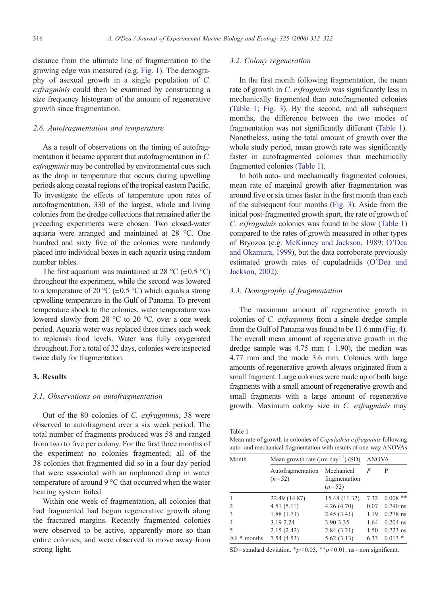distance from the ultimate line of fragmentation to the growing edge was measured (e.g. [Fig. 1\)](#page-1-0). The demography of asexual growth in a single population of C. exfragminis could then be examined by constructing a size frequency histogram of the amount of regenerative growth since fragmentation.

#### 2.6. Autofragmentation and temperature

As a result of observations on the timing of autofragmentation it became apparent that autofragmentation in C. exfragminis may be controlled by environmental cues such as the drop in temperature that occurs during upwelling periods along coastal regions of the tropical eastern Pacific. To investigate the effects of temperature upon rates of autofragmentation, 330 of the largest, whole and living colonies from the dredge collections that remained after the preceding experiments were chosen. Two closed-water aquaria were arranged and maintained at 28 °C. One hundred and sixty five of the colonies were randomly placed into individual boxes in each aquaria using random number tables.

The first aquarium was maintained at 28 °C ( $\pm$ 0.5 °C) throughout the experiment, while the second was lowered to a temperature of 20 °C ( $\pm$ 0.5 °C) which equals a strong upwelling temperature in the Gulf of Panama. To prevent temperature shock to the colonies, water temperature was lowered slowly from 28 °C to 20 °C, over a one week period. Aquaria water was replaced three times each week to replenish food levels. Water was fully oxygenated throughout. For a total of 32 days, colonies were inspected twice daily for fragmentation.

## 3. Results

### 3.1. Observations on autofragmentation

Out of the 80 colonies of C. exfragminis, 38 were observed to autofragment over a six week period. The total number of fragments produced was 58 and ranged from two to five per colony. For the first three months of the experiment no colonies fragmented; all of the 38 colonies that fragmented did so in a four day period that were associated with an unplanned drop in water temperature of around 9 °C that occurred when the water heating system failed.

Within one week of fragmentation, all colonies that had fragmented had begun regenerative growth along the fractured margins. Recently fragmented colonies were observed to be active, apparently more so than entire colonies, and were observed to move away from strong light.

#### 3.2. Colony regeneration

In the first month following fragmentation, the mean rate of growth in C. exfragminis was significantly less in mechanically fragmented than autofragmented colonies (Table 1; [Fig. 3](#page-5-0)). By the second, and all subsequent months, the difference between the two modes of fragmentation was not significantly different (Table 1). Nonetheless, using the total amount of growth over the whole study period, mean growth rate was significantly faster in autofragmented colonies than mechanically fragmented colonies (Table 1).

In both auto- and mechanically fragmented colonies, mean rate of marginal growth after fragmentation was around five or six times faster in the first month than each of the subsequent four months [\(Fig. 3](#page-5-0)). Aside from the initial post-fragmented growth spurt, the rate of growth of C. exfragminis colonies was found to be slow (Table 1) compared to the rates of growth measured in other types of Bryozoa (e.g. [McKinney and Jackson, 1989; O'Dea](#page-9-0) [and Okamura, 1999\)](#page-9-0), but the data corroborate previously estimated growth rates of cupuladriids ([O'Dea and](#page-9-0) [Jackson, 2002\)](#page-9-0).

## 3.3. Demography of fragmentation

The maximum amount of regenerative growth in colonies of C. exfragminis from a single dredge sample from the Gulf of Panama was found to be 11.6 mm [\(Fig. 4\)](#page-5-0). The overall mean amount of regenerative growth in the dredge sample was 4.75 mm  $(\pm 1.90)$ , the median was 4.77 mm and the mode 3.6 mm. Colonies with large amounts of regenerative growth always originated from a small fragment. Large colonies were made up of both large fragments with a small amount of regenerative growth and small fragments with a large amount of regenerative growth. Maximum colony size in C. exfragminis may

Table 1

Mean rate of growth in colonies of Cupuladria exfragminis following auto- and mechanical fragmentation with results of one-way ANOVAs

| Month          | Mean growth rate ( $\mu$ m day <sup>-1</sup> ) (SD) |                                         | <b>ANOVA</b> |            |
|----------------|-----------------------------------------------------|-----------------------------------------|--------------|------------|
|                | Autofragmentation<br>$(n=52)$                       | Mechanical<br>fragmentation<br>$(n=52)$ | F            | P          |
|                | 22.49 (14.87)                                       | 15.48 (11.32)                           | 7.32         | $0.008$ ** |
| $\overline{2}$ | 4.51(5.11)                                          | 4.26(4.70)                              | 0.07         | $0.790$ ns |
| 3              | 1.88(1.71)                                          | 2.45(3.41)                              | 1.19         | $0.278$ ns |
| 4              | 3.19 2.24                                           | 3.90 3.35                               | 1.64         | $0.204$ ns |
| 5              | 2.15(2.42)                                          | 2.84(3.21)                              | 1.50         | $0.223$ ns |
| All 5 months   | 7.54(4.53)                                          | 5.62(3.13)                              | 6.33         | $0.013$ *  |

SD = standard deviation.  $\frac{*p}{0.05}$ ,  $\frac{*p}{0.01}$ , ns = non significant.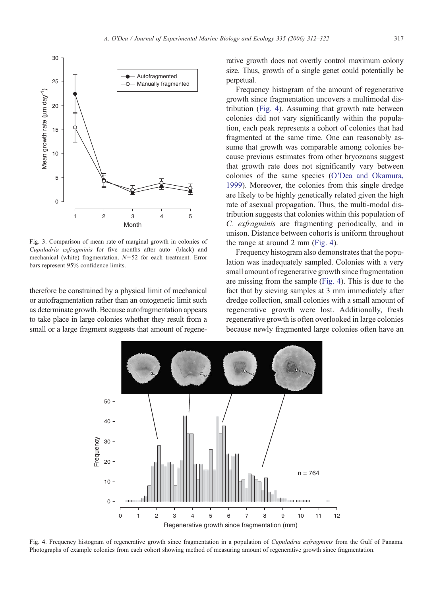<span id="page-5-0"></span>

Fig. 3. Comparison of mean rate of marginal growth in colonies of Cupuladria exfragminis for five months after auto- (black) and mechanical (white) fragmentation.  $N=52$  for each treatment. Error bars represent 95% confidence limits.

therefore be constrained by a physical limit of mechanical or autofragmentation rather than an ontogenetic limit such as determinate growth. Because autofragmentation appears to take place in large colonies whether they result from a small or a large fragment suggests that amount of regenerative growth does not overtly control maximum colony size. Thus, growth of a single genet could potentially be perpetual.

Frequency histogram of the amount of regenerative growth since fragmentation uncovers a multimodal distribution (Fig. 4). Assuming that growth rate between colonies did not vary significantly within the population, each peak represents a cohort of colonies that had fragmented at the same time. One can reasonably assume that growth was comparable among colonies because previous estimates from other bryozoans suggest that growth rate does not significantly vary between colonies of the same species ([O'Dea and Okamura,](#page-10-0) [1999\)](#page-10-0). Moreover, the colonies from this single dredge are likely to be highly genetically related given the high rate of asexual propagation. Thus, the multi-modal distribution suggests that colonies within this population of C. exfragminis are fragmenting periodically, and in unison. Distance between cohorts is uniform throughout the range at around 2 mm (Fig. 4).

Frequency histogram also demonstrates that the population was inadequately sampled. Colonies with a very small amount of regenerative growth since fragmentation are missing from the sample (Fig. 4). This is due to the fact that by sieving samples at 3 mm immediately after dredge collection, small colonies with a small amount of regenerative growth were lost. Additionally, fresh regenerative growth is often overlooked in large colonies because newly fragmented large colonies often have an



Fig. 4. Frequency histogram of regenerative growth since fragmentation in a population of Cupuladria exfragminis from the Gulf of Panama. Photographs of example colonies from each cohort showing method of measuring amount of regenerative growth since fragmentation.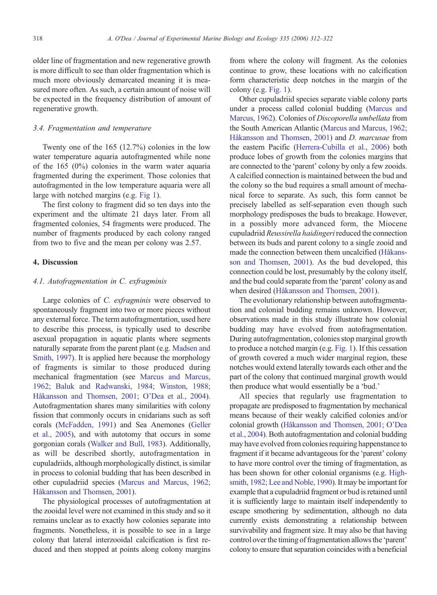older line of fragmentation and new regenerative growth is more difficult to see than older fragmentation which is much more obviously demarcated meaning it is measured more often. As such, a certain amount of noise will be expected in the frequency distribution of amount of regenerative growth.

#### 3.4. Fragmentation and temperature

Twenty one of the 165 (12.7%) colonies in the low water temperature aquaria autofragmented while none of the 165 (0%) colonies in the warm water aquaria fragmented during the experiment. Those colonies that autofragmented in the low temperature aquaria were all large with notched margins (e.g. [Fig 1](#page-1-0)).

The first colony to fragment did so ten days into the experiment and the ultimate 21 days later. From all fragmented colonies, 54 fragments were produced. The number of fragments produced by each colony ranged from two to five and the mean per colony was 2.57.

#### 4. Discussion

#### 4.1. Autofragmentation in C. exfragminis

Large colonies of C. exfragminis were observed to spontaneously fragment into two or more pieces without any external force. The term autofragmentation, used here to describe this process, is typically used to describe asexual propagation in aquatic plants where segments naturally separate from the parent plant (e.g. [Madsen and](#page-9-0) [Smith, 1997](#page-9-0)). It is applied here because the morphology of fragments is similar to those produced during mechanical fragmentation (see [Marcus and Marcus,](#page-9-0) [1962; Baluk and Radwanski, 1984; Winston, 1988;](#page-9-0) [Håkansson and Thomsen, 2001; O'Dea et al., 2004\)](#page-9-0). Autofragmentation shares many similarities with colony fission that commonly occurs in cnidarians such as soft corals [\(McFadden, 1991](#page-9-0)) and Sea Anemones [\(Geller](#page-9-0) [et al., 2005\)](#page-9-0), and with autotomy that occurs in some gorgonian corals ([Walker and Bull, 1983\)](#page-10-0). Additionally, as will be described shortly, autofragmentation in cupuladriids, although morphologically distinct, is similar in process to colonial budding that has been described in other cupuladriid species ([Marcus and Marcus, 1962;](#page-9-0) [Håkansson and Thomsen, 2001](#page-9-0)).

The physiological processes of autofragmentation at the zooidal level were not examined in this study and so it remains unclear as to exactly how colonies separate into fragments. Nonetheless, it is possible to see in a large colony that lateral interzooidal calcification is first reduced and then stopped at points along colony margins

from where the colony will fragment. As the colonies continue to grow, these locations with no calcification form characteristic deep notches in the margin of the colony (e.g. [Fig. 1](#page-1-0)).

Other cupuladriid species separate viable colony parts under a process called colonial budding [\(Marcus and](#page-9-0) [Marcus, 1962\)](#page-9-0). Colonies of Discoporella umbellata from the South American Atlantic [\(Marcus and Marcus, 1962;](#page-9-0) [Håkansson and Thomsen, 2001](#page-9-0)) and D. marcusae from the eastern Pacific [\(Herrera-Cubilla et al., 2006](#page-9-0)) both produce lobes of growth from the colonies margins that are connected to the 'parent' colony by only a few zooids. A calcified connection is maintained between the bud and the colony so the bud requires a small amount of mechanical force to separate. As such, this form cannot be precisely labelled as self-separation even though such morphology predisposes the buds to breakage. However, in a possibly more advanced form, the Miocene cupuladriid Reussirella haidingeri reduced the connection between its buds and parent colony to a single zooid and made the connection between them uncalcified [\(Håkans](#page-9-0)[son and Thomsen, 2001\)](#page-9-0). As the bud developed, this connection could be lost, presumably by the colony itself, and the bud could separate from the 'parent' colony as and when desired ([Håkansson and Thomsen, 2001\)](#page-9-0).

The evolutionary relationship between autofragmentation and colonial budding remains unknown. However, observations made in this study illustrate how colonial budding may have evolved from autofragmentation. During autofragmentation, colonies stop marginal growth to produce a notched margin (e.g. [Fig. 1\)](#page-1-0). If this cessation of growth covered a much wider marginal region, these notches would extend laterally towards each other and the part of the colony that continued marginal growth would then produce what would essentially be a 'bud.'

All species that regularly use fragmentation to propagate are predisposed to fragmentation by mechanical means because of their weakly calcified colonies and/or colonial growth [\(Håkansson and Thomsen, 2001; O'Dea](#page-9-0) [et al., 2004\)](#page-9-0). Both autofragmentation and colonial budding may have evolved from colonies requiring happenstance to fragment if it became advantageous for the 'parent' colony to have more control over the timing of fragmentation, as has been shown for other colonial organisms (e.g. [High](#page-9-0)[smith, 1982; Lee and Noble, 1990\)](#page-9-0). It may be important for example that a cupuladriid fragment or bud is retained until it is sufficiently large to maintain itself independently to escape smothering by sedimentation, although no data currently exists demonstrating a relationship between survivability and fragment size. It may also be that having control over the timing of fragmentation allows the 'parent' colony to ensure that separation coincides with a beneficial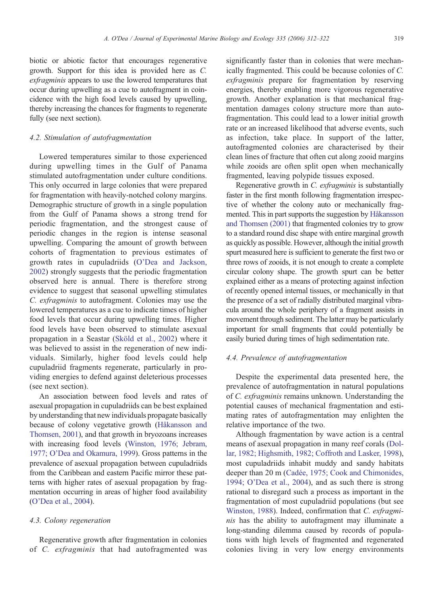biotic or abiotic factor that encourages regenerative growth. Support for this idea is provided here as C. exfragminis appears to use the lowered temperatures that occur during upwelling as a cue to autofragment in coincidence with the high food levels caused by upwelling, thereby increasing the chances for fragments to regenerate fully (see next section).

## 4.2. Stimulation of autofragmentation

Lowered temperatures similar to those experienced during upwelling times in the Gulf of Panama stimulated autofragmentation under culture conditions. This only occurred in large colonies that were prepared for fragmentation with heavily-notched colony margins. Demographic structure of growth in a single population from the Gulf of Panama shows a strong trend for periodic fragmentation, and the strongest cause of periodic changes in the region is intense seasonal upwelling. Comparing the amount of growth between cohorts of fragmentation to previous estimates of growth rates in cupuladriids ([O'Dea and Jackson,](#page-9-0) [2002\)](#page-9-0) strongly suggests that the periodic fragmentation observed here is annual. There is therefore strong evidence to suggest that seasonal upwelling stimulates C. exfragminis to autofragment. Colonies may use the lowered temperatures as a cue to indicate times of higher food levels that occur during upwelling times. Higher food levels have been observed to stimulate asexual propagation in a Seastar ([Sköld et al., 2002\)](#page-10-0) where it was believed to assist in the regeneration of new individuals. Similarly, higher food levels could help cupuladriid fragments regenerate, particularly in providing energies to defend against deleterious processes (see next section).

An association between food levels and rates of asexual propagation in cupuladriids can be best explained by understanding that new individuals propagate basically because of colony vegetative growth [\(Håkansson and](#page-9-0) [Thomsen, 2001\)](#page-9-0), and that growth in bryozoans increases with increasing food levels [\(Winston, 1976; Jebram,](#page-10-0) [1977; O'Dea and Okamura, 1999\)](#page-10-0). Gross patterns in the prevalence of asexual propagation between cupuladriids from the Caribbean and eastern Pacific mirror these patterns with higher rates of asexual propagation by fragmentation occurring in areas of higher food availability [\(O'Dea et al., 2004](#page-10-0)).

## 4.3. Colony regeneration

Regenerative growth after fragmentation in colonies of C. exfragminis that had autofragmented was

significantly faster than in colonies that were mechanically fragmented. This could be because colonies of C. exfragminis prepare for fragmentation by reserving energies, thereby enabling more vigorous regenerative growth. Another explanation is that mechanical fragmentation damages colony structure more than autofragmentation. This could lead to a lower initial growth rate or an increased likelihood that adverse events, such as infection, take place. In support of the latter, autofragmented colonies are characterised by their clean lines of fracture that often cut along zooid margins while zooids are often split open when mechanically fragmented, leaving polypide tissues exposed.

Regenerative growth in C. exfragminis is substantially faster in the first month following fragmentation irrespective of whether the colony auto or mechanically fragmented. This in part supports the suggestion by [Håkansson](#page-9-0) [and Thomsen \(2001\)](#page-9-0) that fragmented colonies try to grow to a standard round disc shape with entire marginal growth as quickly as possible. However, although the initial growth spurt measured here is sufficient to generate the first two or three rows of zooids, it is not enough to create a complete circular colony shape. The growth spurt can be better explained either as a means of protecting against infection of recently opened internal tissues, or mechanically in that the presence of a set of radially distributed marginal vibracula around the whole periphery of a fragment assists in movement through sediment. The latter may be particularly important for small fragments that could potentially be easily buried during times of high sedimentation rate.

## 4.4. Prevalence of autofragmentation

Despite the experimental data presented here, the prevalence of autofragmentation in natural populations of C. exfragminis remains unknown. Understanding the potential causes of mechanical fragmentation and estimating rates of autofragmentation may enlighten the relative importance of the two.

Although fragmentation by wave action is a central means of asexual propagation in many reef corals ([Dol](#page-9-0)[lar, 1982; Highsmith, 1982; Coffroth and Lasker, 1998](#page-9-0)), most cupuladriids inhabit muddy and sandy habitats deeper than 20 m [\(Cadée, 1975; Cook and Chimonides,](#page-9-0) [1994; O'Dea et al., 2004](#page-9-0)), and as such there is strong rational to disregard such a process as important in the fragmentation of most cupuladriid populations (but see [Winston, 1988](#page-10-0)). Indeed, confirmation that C. exfragminis has the ability to autofragment may illuminate a long-standing dilemma caused by records of populations with high levels of fragmented and regenerated colonies living in very low energy environments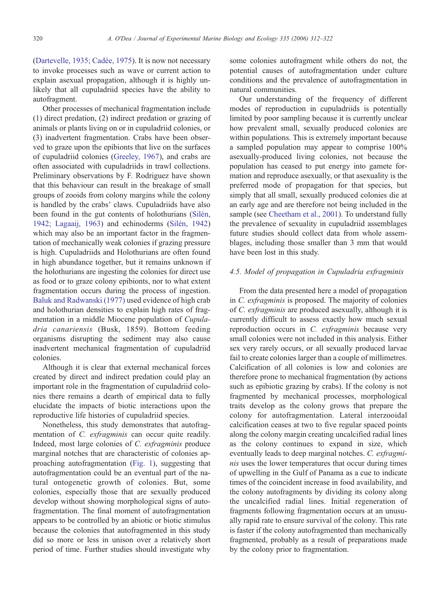[\(Dartevelle, 1935; Cadée, 1975\)](#page-9-0). It is now not necessary to invoke processes such as wave or current action to explain asexual propagation, although it is highly unlikely that all cupuladriid species have the ability to autofragment.

Other processes of mechanical fragmentation include (1) direct predation, (2) indirect predation or grazing of animals or plants living on or in cupuladriid colonies, or (3) inadvertent fragmentation. Crabs have been observed to graze upon the epibionts that live on the surfaces of cupuladriid colonies ([Greeley, 1967](#page-9-0)), and crabs are often associated with cupuladriids in trawl collections. Preliminary observations by F. Rodriguez have shown that this behaviour can result in the breakage of small groups of zooids from colony margins while the colony is handled by the crabs' claws. Cupuladriids have also been found in the gut contents of holothurians ([Silén,](#page-10-0) [1942; Lagaaij, 1963\)](#page-10-0) and echinoderms [\(Silén, 1942](#page-10-0)) which may also be an important factor in the fragmentation of mechanically weak colonies if grazing pressure is high. Cupuladriids and Holothurians are often found in high abundance together, but it remains unknown if the holothurians are ingesting the colonies for direct use as food or to graze colony epibionts, nor to what extent fragmentation occurs during the process of ingestion. [Baluk and Radwanski \(1977\)](#page-9-0) used evidence of high crab and holothurian densities to explain high rates of fragmentation in a middle Miocene population of Cupuladria canariensis (Busk, 1859). Bottom feeding organisms disrupting the sediment may also cause inadvertent mechanical fragmentation of cupuladriid colonies.

Although it is clear that external mechanical forces created by direct and indirect predation could play an important role in the fragmentation of cupuladriid colonies there remains a dearth of empirical data to fully elucidate the impacts of biotic interactions upon the reproductive life histories of cupuladriid species.

Nonetheless, this study demonstrates that autofragmentation of *C. exfragminis* can occur quite readily. Indeed, most large colonies of C. exfragminis produce marginal notches that are characteristic of colonies approaching autofragmentation [\(Fig. 1](#page-1-0)), suggesting that autofragmentation could be an eventual part of the natural ontogenetic growth of colonies. But, some colonies, especially those that are sexually produced develop without showing morphological signs of autofragmentation. The final moment of autofragmentation appears to be controlled by an abiotic or biotic stimulus because the colonies that autofragmented in this study did so more or less in unison over a relatively short period of time. Further studies should investigate why

some colonies autofragment while others do not, the potential causes of autofragmentation under culture conditions and the prevalence of autofragmentation in natural communities.

Our understanding of the frequency of different modes of reproduction in cupuladriids is potentially limited by poor sampling because it is currently unclear how prevalent small, sexually produced colonies are within populations. This is extremely important because a sampled population may appear to comprise 100% asexually-produced living colonies, not because the population has ceased to put energy into gamete formation and reproduce asexually, or that asexuality is the preferred mode of propagation for that species, but simply that all small, sexually produced colonies die at an early age and are therefore not being included in the sample (see [Cheetham et al., 2001\)](#page-9-0). To understand fully the prevalence of sexuality in cupuladriid assemblages future studies should collect data from whole assemblages, including those smaller than 3 mm that would have been lost in this study.

## 4.5. Model of propagation in Cupuladria exfragminis

From the data presented here a model of propagation in C. exfragminis is proposed. The majority of colonies of C. exfragminis are produced asexually, although it is currently difficult to assess exactly how much sexual reproduction occurs in C. exfragminis because very small colonies were not included in this analysis. Either sex very rarely occurs, or all sexually produced larvae fail to create colonies larger than a couple of millimetres. Calcification of all colonies is low and colonies are therefore prone to mechanical fragmentation (by actions such as epibiotic grazing by crabs). If the colony is not fragmented by mechanical processes, morphological traits develop as the colony grows that prepare the colony for autofragmentation. Lateral interzooidal calcification ceases at two to five regular spaced points along the colony margin creating uncalcified radial lines as the colony continues to expand in size, which eventually leads to deep marginal notches. C. exfragminis uses the lower temperatures that occur during times of upwelling in the Gulf of Panama as a cue to indicate times of the coincident increase in food availability, and the colony autofragments by dividing its colony along the uncalcified radial lines. Initial regeneration of fragments following fragmentation occurs at an unusually rapid rate to ensure survival of the colony. This rate is faster if the colony autofragmented than mechanically fragmented, probably as a result of preparations made by the colony prior to fragmentation.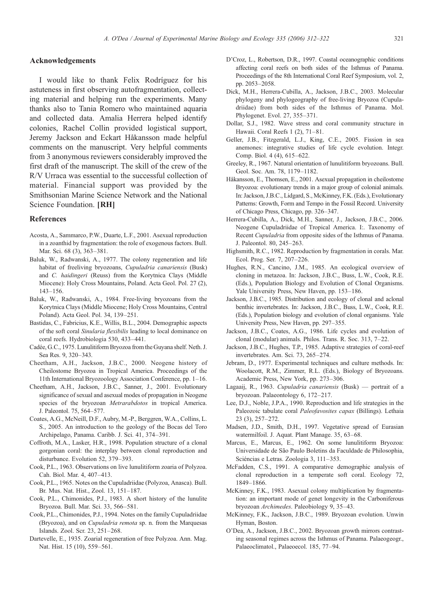#### <span id="page-9-0"></span>Acknowledgements

I would like to thank Felix Rodríguez for his astuteness in first observing autofragmentation, collecting material and helping run the experiments. Many thanks also to Tania Romero who maintained aquaria and collected data. Amalia Herrera helped identify colonies, Rachel Collin provided logistical support, Jeremy Jackson and Eckart Håkansson made helpful comments on the manuscript. Very helpful comments from 3 anonymous reviewers considerably improved the first draft of the manuscript. The skill of the crew of the R/V Urraca was essential to the successful collection of material. Financial support was provided by the Smithsonian Marine Science Network and the National Science Foundation. [RH]

#### References

- Acosta, A., Sammarco, P.W., Duarte, L.F., 2001. Asexual reproduction in a zoanthid by fragmentation: the role of exogenous factors. Bull. Mar. Sci. 68 (3), 363–381.
- Baluk, W., Radwanski, A., 1977. The colony regeneration and life habitat of freeliving bryozoans, Cupuladria canariensis (Busk) and C. haidingeri (Reuss) from the Korytnica Clays (Middle Miocene): Holy Cross Mountains, Poland. Acta Geol. Pol. 27 (2), 143–156.
- Baluk, W., Radwanski, A., 1984. Free-living bryozoans from the Korytnica Clays (Middle Miocene; Holy Cross Mountains, Central Poland). Acta Geol. Pol. 34, 139–251.
- Bastidas, C., Fabricius, K.E., Willis, B.L., 2004. Demographic aspects of the soft coral Sinularia flexibilis leading to local dominance on coral reefs. Hydrobiologia 530, 433–441.
- Cadée, G.C., 1975. Lunulitiform Bryozoa from the Guyana shelf. Neth. J. Sea Res. 9, 320–343.
- Cheetham, A.H., Jackson, J.B.C., 2000. Neogene history of Cheilostome Bryozoa in Tropical America. Proceedings of the 11th International Bryozoology Association Conference, pp. 1–16.
- Cheetham, A.H., Jackson, J.B.C., Sanner, J., 2001. Evolutionary significance of sexual and asexual modes of propagation in Neogene species of the bryozoan Metrarabdotos in tropical America. J. Paleontol. 75, 564–577.
- Coates, A.G., McNeill, D.F., Aubry, M.-P., Berggren, W.A., Collins, L. S., 2005. An introduction to the geology of the Bocas del Toro Archipelago, Panama. Caribb. J. Sci. 41, 374–391.
- Coffroth, M.A., Lasker, H.R., 1998. Population structure of a clonal gorgonian coral: the interplay between clonal reproduction and disturbance. Evolution 52, 379–393.
- Cook, P.L., 1963. Observations on live lunulitiform zoaria of Polyzoa. Cah. Biol. Mar. 4, 407–413.
- Cook, P.L., 1965. Notes on the Cupuladriidae (Polyzoa, Anasca). Bull. Br. Mus. Nat. Hist., Zool. 13, 151–187.
- Cook, P.L., Chimonides, P.J., 1983. A short history of the lunulite Bryozoa. Bull. Mar. Sci. 33, 566–581.
- Cook, P.L., Chimonides, P.J., 1994. Notes on the family Cupuladriidae (Bryozoa), and on Cupuladria remota sp. n. from the Marquesas Islands. Zool. Scr. 23, 251–268.
- Dartevelle, E., 1935. Zoarial regeneration of free Polyzoa. Ann. Mag. Nat. Hist. 15 (10), 559–561.
- D'Croz, L., Robertson, D.R., 1997. Coastal oceanographic conditions affecting coral reefs on both sides of the Isthmus of Panama. Proceedings of the 8th International Coral Reef Symposium, vol. 2, pp. 2053–2058.
- Dick, M.H., Herrera-Cubilla, A., Jackson, J.B.C., 2003. Molecular phylogeny and phylogeography of free-living Bryozoa (Cupuladriidae) from both sides of the Isthmus of Panama. Mol. Phylogenet. Evol. 27, 355–371.
- Dollar, S.J., 1982. Wave stress and coral community structure in Hawaii. Coral Reefs 1 (2), 71–81.
- Geller, J.B., Fitzgerald, L.J., King, C.E., 2005. Fission in sea anemones: integrative studies of life cycle evolution. Integr. Comp. Biol. 4 (4), 615–622.
- Greeley, R., 1967. Natural orientation of lunulitiform bryozoans. Bull. Geol. Soc. Am. 78, 1179–1182.
- Håkansson, E., Thomsen, E., 2001. Asexual propagation in cheilostome Bryozoa: evolutionary trends in a major group of colonial animals. In: Jackson, J.B.C., Lidgard, S., McKinney, F.K. (Eds.), Evolutionary Patterns: Growth, Form and Tempo in the Fossil Record. University of Chicago Press, Chicago, pp. 326–347.
- Herrera-Cubilla, A., Dick, M.H., Sanner, J., Jackson, J.B.C., 2006. Neogene Cupuladriidae of Tropical America. I:. Taxonomy of Recent Cupuladria from opposite sides of the Isthmus of Panama. J. Paleontol. 80, 245–263.
- Highsmith, R.C., 1982. Reproduction by fragmentation in corals. Mar. Ecol. Prog. Ser. 7, 207–226.
- Hughes, R.N., Cancino, J.M., 1985. An ecological overview of cloning in metazoa. In: Jackson, J.B.C., Buss, L.W., Cook, R.E. (Eds.), Population Biology and Evolution of Clonal Organisms. Yale University Press, New Haven, pp. 153–186.
- Jackson, J.B.C., 1985. Distribution and ecology of clonal and aclonal benthic invertebrates. In: Jackson, J.B.C., Buss, L.W., Cook, R.E. (Eds.), Population biology and evolution of clonal organisms. Yale University Press, New Haven, pp. 297–355.
- Jackson, J.B.C., Coates, A.G., 1986. Life cycles and evolution of clonal (modular) animals. Philos. Trans. R. Soc. 313, 7–22.
- Jackson, J.B.C., Hughes, T.P., 1985. Adaptive strategies of coral-reef invertebrates. Am. Sci. 73, 265–274.
- Jebram, D., 1977. Experimental techniques and culture methods. In: Woolacott, R.M., Zimmer, R.L. (Eds.), Biology of Bryozoans. Academic Press, New York, pp. 273–306.
- Lagaaij, R., 1963. Cupuladria canariensis (Busk) portrait of a bryozoan. Palaeontology 6, 172–217.
- Lee, D.J., Noble, J.P.A., 1990. Reproduction and life strategies in the Paleozoic tabulate coral Paleofavosites capax (Billings). Lethaia 23 (3), 257–272.
- Madsen, J.D., Smith, D.H., 1997. Vegetative spread of Eurasian watermilfoil. J. Aquat. Plant Manage. 35, 63–68.
- Marcus, E., Marcus, E., 1962. On some lunulitiform Bryozoa: Universidade de São Paulo Boletins da Faculdade de Philosophia, Sciéncias e Letras. Zoologia 3, 111–353.
- McFadden, C.S., 1991. A comparative demographic analysis of clonal reproduction in a temperate soft coral. Ecology 72, 1849–1866.
- McKinney, F.K., 1983. Asexual colony multiplication by fragmentation: an important mode of genet longevity in the Carboniferous bryozoan Archimedes. Paleobiology 9, 35–43.
- McKinney, F.K., Jackson, J.B.C., 1989. Bryozoan evolution. Unwin Hyman, Boston.
- O'Dea, A., Jackson, J.B.C., 2002. Bryozoan growth mirrors contrasting seasonal regimes across the Isthmus of Panama. Palaeogeogr., Palaeoclimatol., Palaeoecol. 185, 77–94.